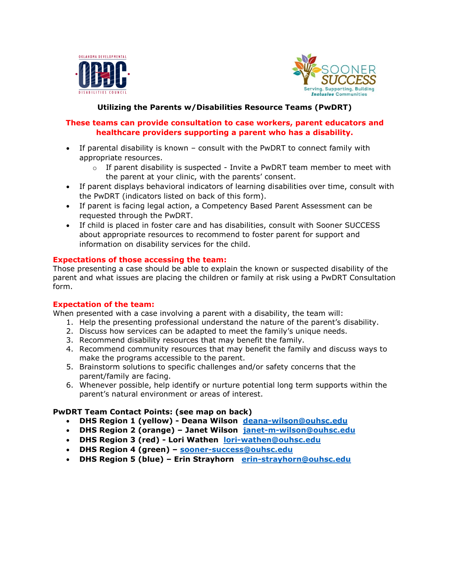



**Utilizing the Parents w/Disabilities Resource Teams (PwDRT)**

## **These teams can provide consultation to case workers, parent educators and healthcare providers supporting a parent who has a disability.**

- If parental disability is known consult with the PwDRT to connect family with appropriate resources.
	- $\circ$  If parent disability is suspected Invite a PwDRT team member to meet with the parent at your clinic, with the parents' consent.
- If parent displays behavioral indicators of learning disabilities over time, consult with the PwDRT (indicators listed on back of this form).
- If parent is facing legal action, a Competency Based Parent Assessment can be requested through the PwDRT.
- If child is placed in foster care and has disabilities, consult with Sooner SUCCESS about appropriate resources to recommend to foster parent for support and information on disability services for the child.

## **Expectations of those accessing the team:**

Those presenting a case should be able to explain the known or suspected disability of the parent and what issues are placing the children or family at risk using a PwDRT Consultation form.

#### **Expectation of the team:**

When presented with a case involving a parent with a disability, the team will:

- 1. Help the presenting professional understand the nature of the parent's disability.
- 2. Discuss how services can be adapted to meet the family's unique needs.
- 3. Recommend disability resources that may benefit the family.
- 4. Recommend community resources that may benefit the family and discuss ways to make the programs accessible to the parent.
- 5. Brainstorm solutions to specific challenges and/or safety concerns that the parent/family are facing.
- 6. Whenever possible, help identify or nurture potential long term supports within the parent's natural environment or areas of interest.

# **PwDRT Team Contact Points: (see map on back)**

- **DHS Region 1 (yellow) - Deana Wilson [deana-wilson@ouhsc.edu](mailto:deana-wilson@ouhsc.edu)**
- **DHS Region 2 (orange) – Janet Wilson [janet-m-wilson@ouhsc.edu](mailto:janet-m-wilson@ouhsc.edu)**
- **DHS Region 3 (red) - Lori Wathen [lori-wathen@ouhsc.edu](mailto:lori-wathen@ouhsc.edu)**
- **DHS Region 4 (green) – [sooner-success@ouhsc.edu](https://connect.ouhsc.edu/owa/,DanaInfo=webmail.ouhsc.edu,SSL+redir.aspx?C=0HSfBVGrrlEokSZkN9ZaXcV9_gZ0hDJTWL6BoKtAg-CcCnYl8C7WCA..&URL=mailto%3asooner-success%40ouhsc.edu)**
- **DHS Region 5 (blue) – Erin Strayhorn [erin-strayhorn@ouhsc.edu](mailto:erin-strayhorn@ouhsc.edu)**